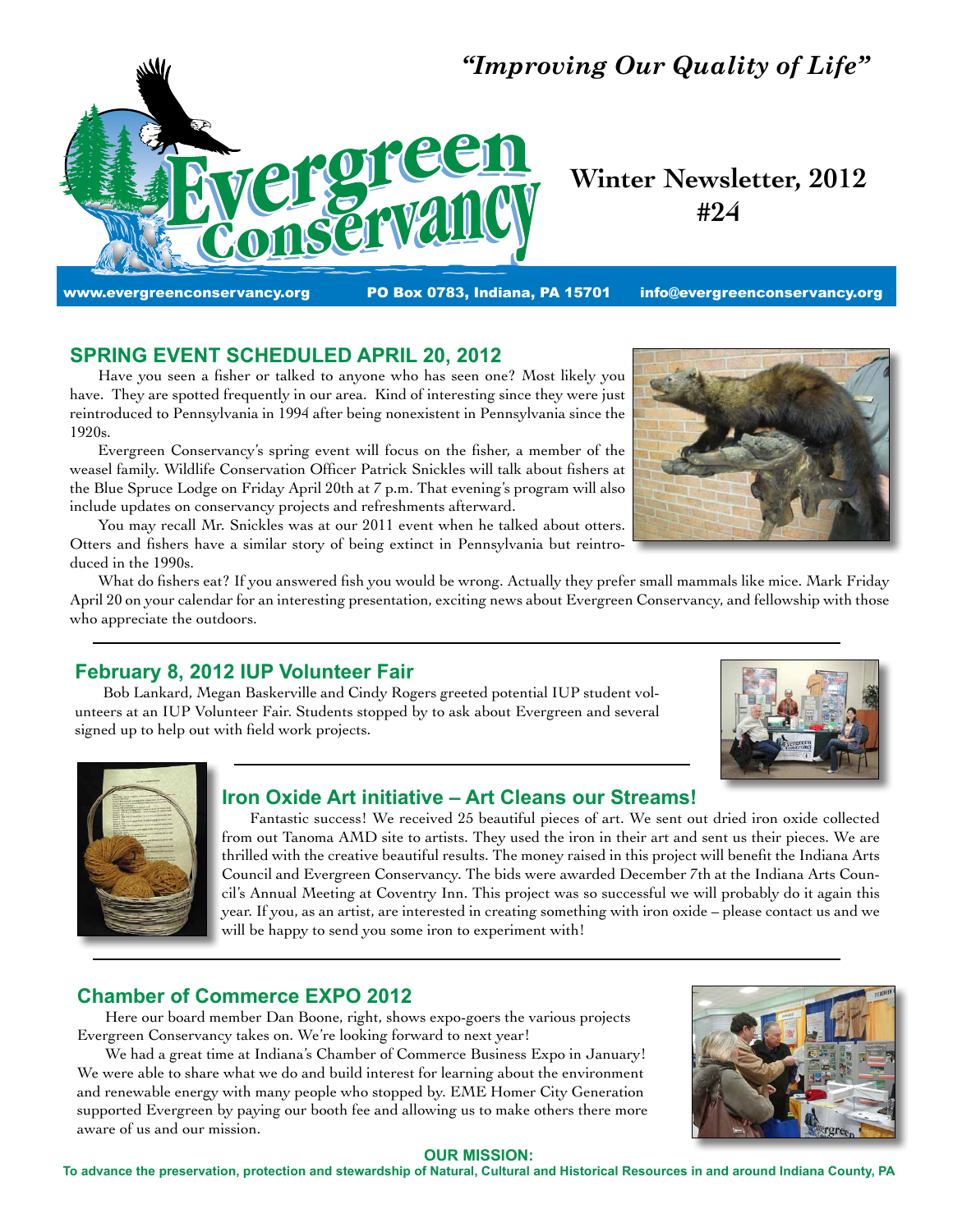

# **Winter Newsletter, 2012 #24**

# **SPRING EVENT SCHEDULED APRIL 20, 2012**

 Have you seen a fisher or talked to anyone who has seen one? Most likely you have. They are spotted frequently in our area. Kind of interesting since they were just reintroduced to Pennsylvania in 1994 after being nonexistent in Pennsylvania since the 1920s.

 Evergreen Conservancy's spring event will focus on the fisher, a member of the weasel family. Wildlife Conservation Officer Patrick Snickles will talk about fishers at the Blue Spruce Lodge on Friday April 20th at 7 p.m. That evening's program will also include updates on conservancy projects and refreshments afterward.

 You may recall Mr. Snickles was at our 2011 event when he talked about otters. Otters and fishers have a similar story of being extinct in Pennsylvania but reintroduced in the 1990s.

 What do fishers eat? If you answered fish you would be wrong. Actually they prefer small mammals like mice. Mark Friday April 20 on your calendar for an interesting presentation, exciting news about Evergreen Conservancy, and fellowship with those who appreciate the outdoors.

# **February 8, 2012 IUP Volunteer Fair**

 Bob Lankard, Megan Baskerville and Cindy Rogers greeted potential IUP student volunteers at an IUP Volunteer Fair. Students stopped by to ask about Evergreen and several signed up to help out with field work projects.





### **Iron Oxide Art initiative – Art Cleans our Streams!**

 Fantastic success! We received 25 beautiful pieces of art. We sent out dried iron oxide collected from out Tanoma AMD site to artists. They used the iron in their art and sent us their pieces. We are thrilled with the creative beautiful results. The money raised in this project will benefit the Indiana Arts Council and Evergreen Conservancy. The bids were awarded December 7th at the Indiana Arts Council's Annual Meeting at Coventry Inn. This project was so successful we will probably do it again this year. If you, as an artist, are interested in creating something with iron oxide – please contact us and we will be happy to send you some iron to experiment with!

# **Chamber of Commerce EXPO 2012**

 Here our board member Dan Boone, right, shows expo-goers the various projects Evergreen Conservancy takes on. We're looking forward to next year!

 We had a great time at Indiana's Chamber of Commerce Business Expo in January! We were able to share what we do and build interest for learning about the environment and renewable energy with many people who stopped by. EME Homer City Generation supported Evergreen by paying our booth fee and allowing us to make others there more aware of us and our mission.



#### **OUR MISSION:**

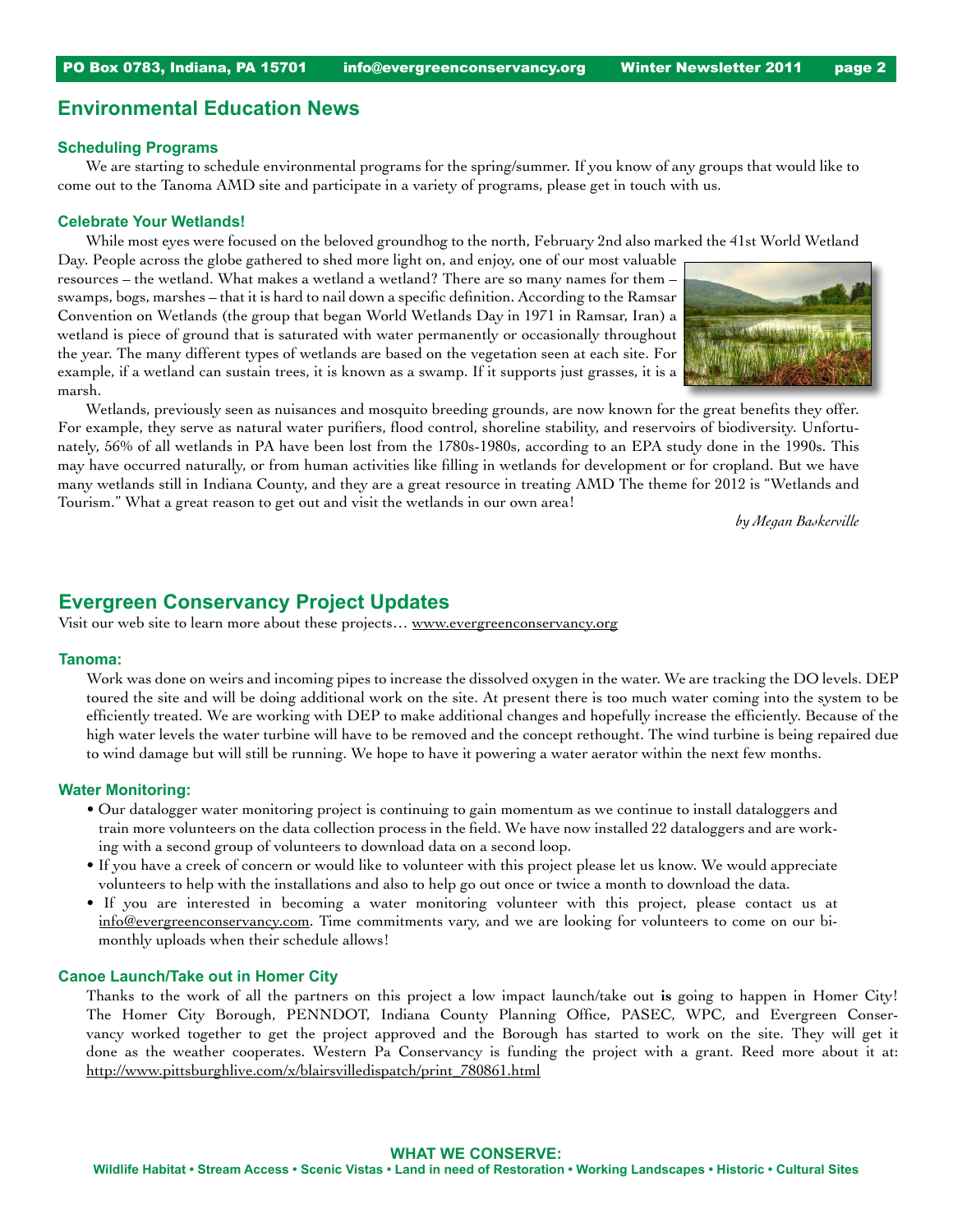### **Environmental Education News**

#### **Scheduling Programs**

 We are starting to schedule environmental programs for the spring/summer. If you know of any groups that would like to come out to the Tanoma AMD site and participate in a variety of programs, please get in touch with us.

#### **Celebrate Your Wetlands!**

 While most eyes were focused on the beloved groundhog to the north, February 2nd also marked the 41st World Wetland

Day. People across the globe gathered to shed more light on, and enjoy, one of our most valuable resources – the wetland. What makes a wetland a wetland? There are so many names for them – swamps, bogs, marshes – that it is hard to nail down a specific definition. According to the Ramsar Convention on Wetlands (the group that began World Wetlands Day in 1971 in Ramsar, Iran) a wetland is piece of ground that is saturated with water permanently or occasionally throughout the year. The many different types of wetlands are based on the vegetation seen at each site. For example, if a wetland can sustain trees, it is known as a swamp. If it supports just grasses, it is a marsh.



 Wetlands, previously seen as nuisances and mosquito breeding grounds, are now known for the great benefits they offer. For example, they serve as natural water purifiers, flood control, shoreline stability, and reservoirs of biodiversity. Unfortunately, 56% of all wetlands in PA have been lost from the 1780s-1980s, according to an EPA study done in the 1990s. This may have occurred naturally, or from human activities like filling in wetlands for development or for cropland. But we have many wetlands still in Indiana County, and they are a great resource in treating AMD The theme for 2012 is "Wetlands and Tourism." What a great reason to get out and visit the wetlands in our own area!

*by Megan Baskerville*

### **Evergreen Conservancy Project Updates**

Visit our web site to learn more about these projects… [www.evergreenconservancy.org](http://www.evergreenconservancy.org)

#### **Tanoma:**

Work was done on weirs and incoming pipes to increase the dissolved oxygen in the water. We are tracking the DO levels. DEP toured the site and will be doing additional work on the site. At present there is too much water coming into the system to be efficiently treated. We are working with DEP to make additional changes and hopefully increase the efficiently. Because of the high water levels the water turbine will have to be removed and the concept rethought. The wind turbine is being repaired due to wind damage but will still be running. We hope to have it powering a water aerator within the next few months.

#### **Water Monitoring:**

- Our datalogger water monitoring project is continuing to gain momentum as we continue to install dataloggers and train more volunteers on the data collection process in the field. We have now installed 22 dataloggers and are working with a second group of volunteers to download data on a second loop.
- If you have a creek of concern or would like to volunteer with this project please let us know. We would appreciate volunteers to help with the installations and also to help go out once or twice a month to download the data.
- If you are interested in becoming a water monitoring volunteer with this project, please contact us at [info@evergreenconservancy.com](mailto:info@evergreenconservancy.com). Time commitments vary, and we are looking for volunteers to come on our bimonthly uploads when their schedule allows!

#### **Canoe Launch/Take out in Homer City**

Thanks to the work of all the partners on this project a low impact launch/take out **is** going to happen in Homer City! The Homer City Borough, PENNDOT, Indiana County Planning Office, PASEC, WPC, and Evergreen Conservancy worked together to get the project approved and the Borough has started to work on the site. They will get it done as the weather cooperates. Western Pa Conservancy is funding the project with a grant. Reed more about it at: [http://www.pittsburghlive.com/x/blairsvilledispatch/print\\_780861.html](http://www.pittsburghlive.com/x/blairsvilledispatch/print_780861.html)

#### **WHAT WE CONSERVE:**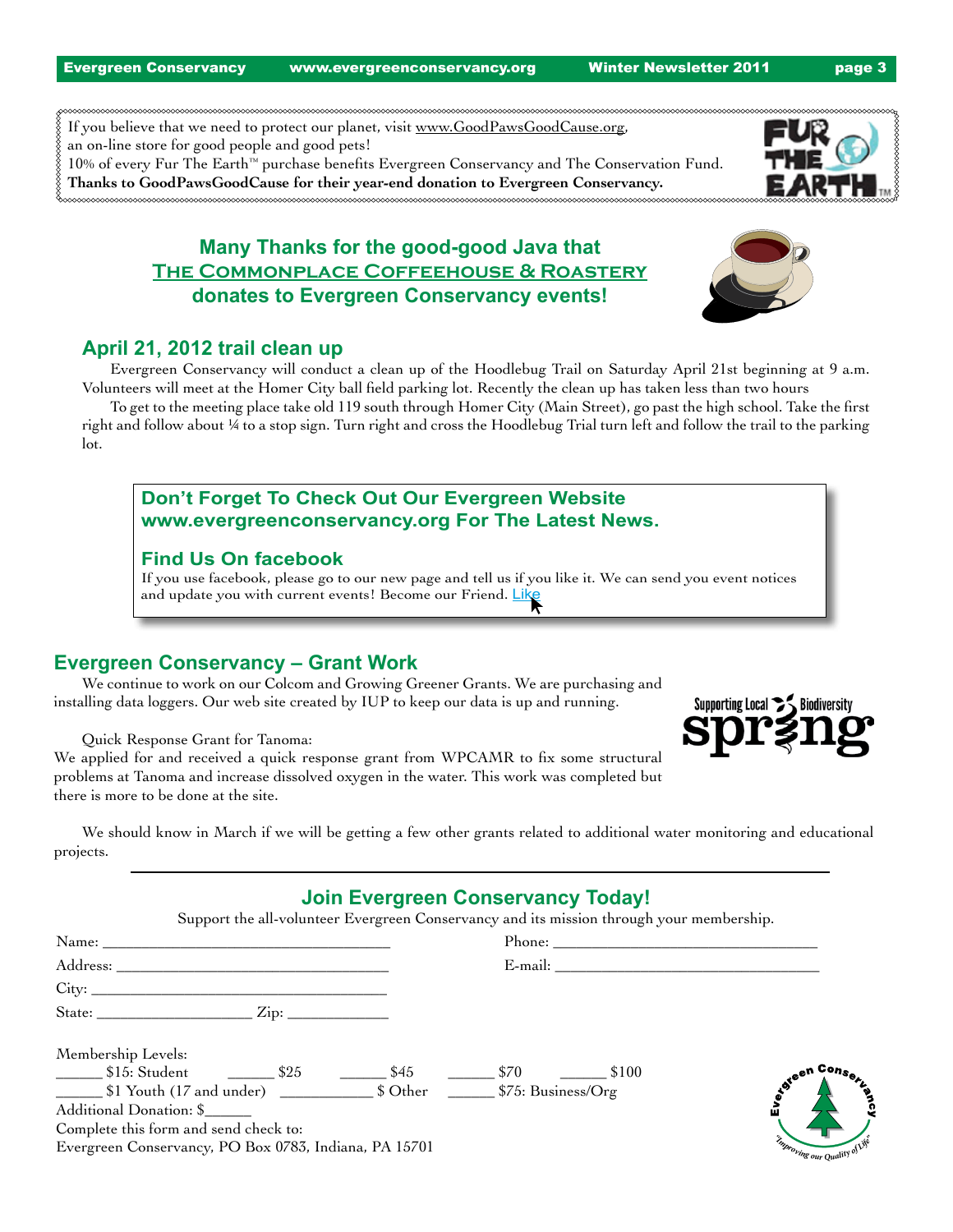Evergreen Conservancy www.evergreenconservancy.org Winter Newsletter 2011 **page 3** 

If you believe that we need to protect our planet, visit [www.GoodPawsGoodCause.org,](http://www.GoodPawsGoodCause.org) an on-line store for good people and good pets! 10% of every Fur The Earth™ purchase benefits Evergreen Conservancy and The Conservation Fund. **Thanks to GoodPawsGoodCause for their year-end donation to Evergreen Conservancy.** 

# **Many Thanks for the good-good Java that [The Commonplace Coffeehouse & Roastery](http://thecommonplacecoffeehouse.com) donates to Evergreen Conservancy events!**



# **April 21, 2012 trail clean up**

 Evergreen Conservancy will conduct a clean up of the Hoodlebug Trail on Saturday April 21st beginning at 9 a.m. Volunteers will meet at the Homer City ball field parking lot. Recently the clean up has taken less than two hours

 To get to the meeting place take old 119 south through Homer City (Main Street), go past the high school. Take the first right and follow about ¼ to a stop sign. Turn right and cross the Hoodlebug Trial turn left and follow the trail to the parking lot.

# **Don't Forget To Check Out Our Evergreen Website www.evergreenconservancy.org For The Latest News.**

### **Find Us On facebook**

If you use facebook, please go to our new page and tell us if you like it. We can send you event notices and update you with current events! Become our Friend. Like

### **Evergreen Conservancy – Grant Work**

 We continue to work on our Colcom and Growing Greener Grants. We are purchasing and installing data loggers. Our web site created by IUP to keep our data is up and running.

 Quick Response Grant for Tanoma:

We applied for and received a quick response grant from WPCAMR to fix some structural problems at Tanoma and increase dissolved oxygen in the water. This work was completed but there is more to be done at the site.



 We should know in March if we will be getting a few other grants related to additional water monitoring and educational projects.

# **Join Evergreen Conservancy Today!**

Support the all-volunteer Evergreen Conservancy and its mission through your membership.

| Address: ___________                                                 | $E$ -mail:                     |
|----------------------------------------------------------------------|--------------------------------|
|                                                                      |                                |
|                                                                      |                                |
| Membership Levels:                                                   |                                |
| __________ \$15: Student \$25<br>\$45                                | steen Consert<br>\$70<br>\$100 |
| \$1 Youth (17 and under) \$1 Youth (17 and under) \$25. Business/Org |                                |
| Additional Donation: \$                                              |                                |
| Complete this form and send check to:                                |                                |
| Evergreen Conservancy, PO Box 0783, Indiana, PA 15701                | Improving our Quality of Life  |